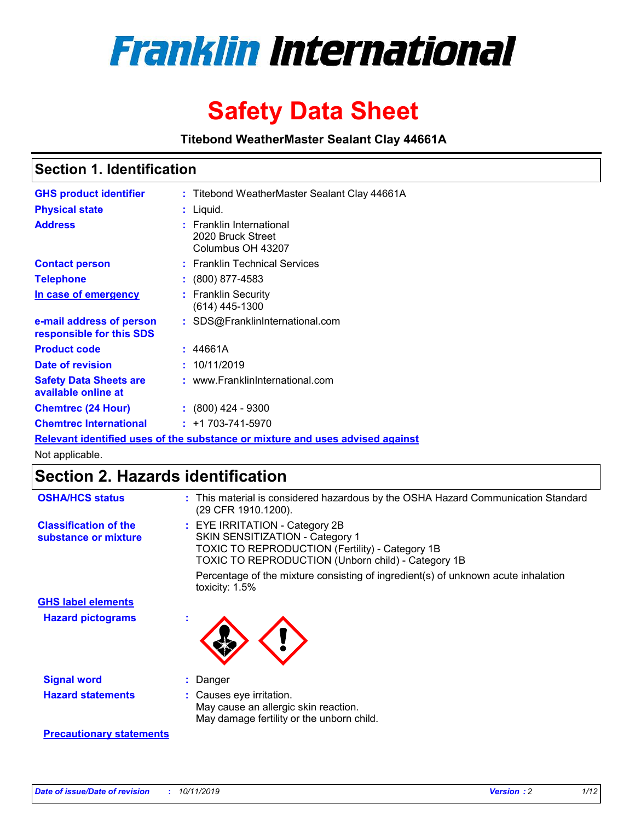

# **Safety Data Sheet**

**Titebond WeatherMaster Sealant Clay 44661A**

## **Section 1. Identification**

| <b>GHS product identifier</b>                        | : Titebond WeatherMaster Sealant Clay 44661A                                  |
|------------------------------------------------------|-------------------------------------------------------------------------------|
| <b>Physical state</b>                                | : Liquid.                                                                     |
| <b>Address</b>                                       | : Franklin International<br>2020 Bruck Street<br>Columbus OH 43207            |
| <b>Contact person</b>                                | : Franklin Technical Services                                                 |
| <b>Telephone</b>                                     | $\colon$ (800) 877-4583                                                       |
| In case of emergency                                 | : Franklin Security<br>(614) 445-1300                                         |
| e-mail address of person<br>responsible for this SDS | : SDS@FranklinInternational.com                                               |
| <b>Product code</b>                                  | : 44661A                                                                      |
| Date of revision                                     | : 10/11/2019                                                                  |
| <b>Safety Data Sheets are</b><br>available online at | : www.FranklinInternational.com                                               |
| <b>Chemtrec (24 Hour)</b>                            | $: (800)$ 424 - 9300                                                          |
| <b>Chemtrec International</b>                        | $: +1703 - 741 - 5970$                                                        |
|                                                      | Relevant identified uses of the substance or mixture and uses advised against |

Not applicable.

## **Section 2. Hazards identification**

| <b>OSHA/HCS status</b>                               | : This material is considered hazardous by the OSHA Hazard Communication Standard<br>(29 CFR 1910.1200).                                                                                 |
|------------------------------------------------------|------------------------------------------------------------------------------------------------------------------------------------------------------------------------------------------|
| <b>Classification of the</b><br>substance or mixture | : EYE IRRITATION - Category 2B<br>SKIN SENSITIZATION - Category 1<br><b>TOXIC TO REPRODUCTION (Fertility) - Category 1B</b><br><b>TOXIC TO REPRODUCTION (Unborn child) - Category 1B</b> |
|                                                      | Percentage of the mixture consisting of ingredient(s) of unknown acute inhalation<br>toxicity: $1.5\%$                                                                                   |
| <b>GHS label elements</b>                            |                                                                                                                                                                                          |
| <b>Hazard pictograms</b>                             |                                                                                                                                                                                          |
| <b>Signal word</b>                                   | : Danger                                                                                                                                                                                 |
| <b>Hazard statements</b>                             | : Causes eye irritation.<br>May cause an allergic skin reaction.<br>May damage fertility or the unborn child.                                                                            |
| <b>Precautionary statements</b>                      |                                                                                                                                                                                          |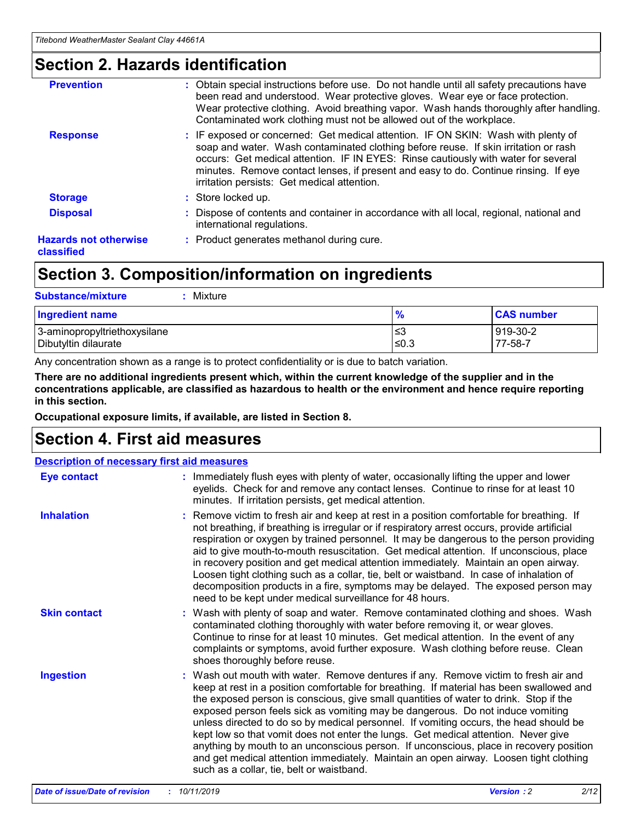## **Section 2. Hazards identification**

| <b>Prevention</b>                          | : Obtain special instructions before use. Do not handle until all safety precautions have<br>been read and understood. Wear protective gloves. Wear eye or face protection.<br>Wear protective clothing. Avoid breathing vapor. Wash hands thoroughly after handling.<br>Contaminated work clothing must not be allowed out of the workplace.                                                        |
|--------------------------------------------|------------------------------------------------------------------------------------------------------------------------------------------------------------------------------------------------------------------------------------------------------------------------------------------------------------------------------------------------------------------------------------------------------|
| <b>Response</b>                            | : IF exposed or concerned: Get medical attention. IF ON SKIN: Wash with plenty of<br>soap and water. Wash contaminated clothing before reuse. If skin irritation or rash<br>occurs: Get medical attention. IF IN EYES: Rinse cautiously with water for several<br>minutes. Remove contact lenses, if present and easy to do. Continue rinsing. If eye<br>irritation persists: Get medical attention. |
| <b>Storage</b>                             | : Store locked up.                                                                                                                                                                                                                                                                                                                                                                                   |
| <b>Disposal</b>                            | : Dispose of contents and container in accordance with all local, regional, national and<br>international regulations.                                                                                                                                                                                                                                                                               |
| <b>Hazards not otherwise</b><br>classified | : Product generates methanol during cure.                                                                                                                                                                                                                                                                                                                                                            |
|                                            |                                                                                                                                                                                                                                                                                                                                                                                                      |

## **Section 3. Composition/information on ingredients**

| <b>Substance/mixture</b><br>Mixture                  |                   |                     |
|------------------------------------------------------|-------------------|---------------------|
| Ingredient name                                      | $\frac{9}{6}$     | <b>CAS number</b>   |
| 3-aminopropyltriethoxysilane<br>Dibutyltin dilaurate | l≤3<br>$\leq 0.3$ | 919-30-2<br>77-58-7 |

Any concentration shown as a range is to protect confidentiality or is due to batch variation.

**There are no additional ingredients present which, within the current knowledge of the supplier and in the concentrations applicable, are classified as hazardous to health or the environment and hence require reporting in this section.**

**Occupational exposure limits, if available, are listed in Section 8.**

## **Section 4. First aid measures**

| <b>Description of necessary first aid measures</b> |                                                                                                                                                                                                                                                                                                                                                                                                                                                                                                                                                                                                                                                                                                                                                                           |  |  |  |
|----------------------------------------------------|---------------------------------------------------------------------------------------------------------------------------------------------------------------------------------------------------------------------------------------------------------------------------------------------------------------------------------------------------------------------------------------------------------------------------------------------------------------------------------------------------------------------------------------------------------------------------------------------------------------------------------------------------------------------------------------------------------------------------------------------------------------------------|--|--|--|
| <b>Eye contact</b>                                 | : Immediately flush eyes with plenty of water, occasionally lifting the upper and lower<br>eyelids. Check for and remove any contact lenses. Continue to rinse for at least 10<br>minutes. If irritation persists, get medical attention.                                                                                                                                                                                                                                                                                                                                                                                                                                                                                                                                 |  |  |  |
| <b>Inhalation</b>                                  | : Remove victim to fresh air and keep at rest in a position comfortable for breathing. If<br>not breathing, if breathing is irregular or if respiratory arrest occurs, provide artificial<br>respiration or oxygen by trained personnel. It may be dangerous to the person providing<br>aid to give mouth-to-mouth resuscitation. Get medical attention. If unconscious, place<br>in recovery position and get medical attention immediately. Maintain an open airway.<br>Loosen tight clothing such as a collar, tie, belt or waistband. In case of inhalation of<br>decomposition products in a fire, symptoms may be delayed. The exposed person may<br>need to be kept under medical surveillance for 48 hours.                                                       |  |  |  |
| <b>Skin contact</b>                                | : Wash with plenty of soap and water. Remove contaminated clothing and shoes. Wash<br>contaminated clothing thoroughly with water before removing it, or wear gloves.<br>Continue to rinse for at least 10 minutes. Get medical attention. In the event of any<br>complaints or symptoms, avoid further exposure. Wash clothing before reuse. Clean<br>shoes thoroughly before reuse.                                                                                                                                                                                                                                                                                                                                                                                     |  |  |  |
| <b>Ingestion</b>                                   | : Wash out mouth with water. Remove dentures if any. Remove victim to fresh air and<br>keep at rest in a position comfortable for breathing. If material has been swallowed and<br>the exposed person is conscious, give small quantities of water to drink. Stop if the<br>exposed person feels sick as vomiting may be dangerous. Do not induce vomiting<br>unless directed to do so by medical personnel. If vomiting occurs, the head should be<br>kept low so that vomit does not enter the lungs. Get medical attention. Never give<br>anything by mouth to an unconscious person. If unconscious, place in recovery position<br>and get medical attention immediately. Maintain an open airway. Loosen tight clothing<br>such as a collar, tie, belt or waistband. |  |  |  |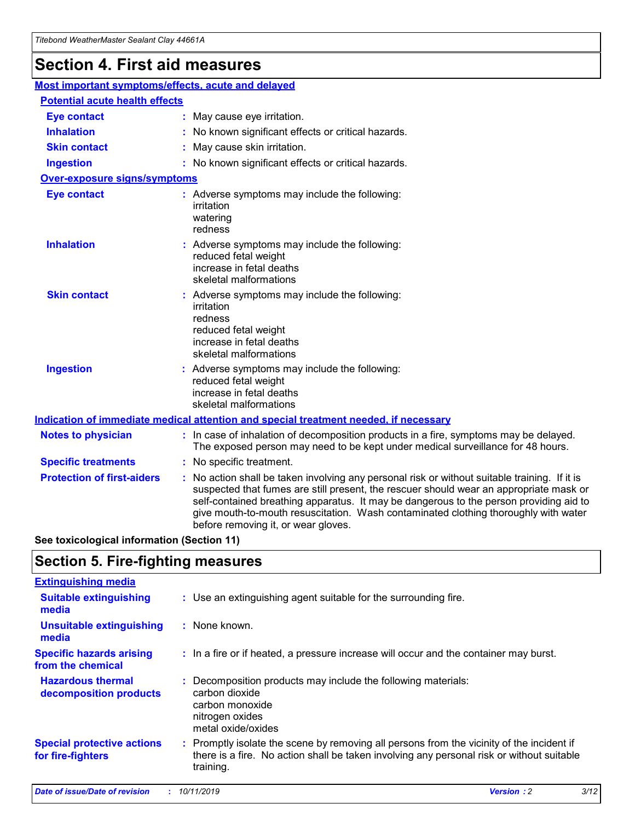## **Section 4. First aid measures**

| Most important symptoms/effects, acute and delayed |                                       |                                                                                                                                                                                                                                                                                                                                                                                                                 |  |  |
|----------------------------------------------------|---------------------------------------|-----------------------------------------------------------------------------------------------------------------------------------------------------------------------------------------------------------------------------------------------------------------------------------------------------------------------------------------------------------------------------------------------------------------|--|--|
|                                                    | <b>Potential acute health effects</b> |                                                                                                                                                                                                                                                                                                                                                                                                                 |  |  |
| <b>Eye contact</b>                                 |                                       | : May cause eye irritation.                                                                                                                                                                                                                                                                                                                                                                                     |  |  |
| <b>Inhalation</b>                                  |                                       | : No known significant effects or critical hazards.                                                                                                                                                                                                                                                                                                                                                             |  |  |
| <b>Skin contact</b>                                |                                       | : May cause skin irritation.                                                                                                                                                                                                                                                                                                                                                                                    |  |  |
| <b>Ingestion</b>                                   |                                       | : No known significant effects or critical hazards.                                                                                                                                                                                                                                                                                                                                                             |  |  |
| <b>Over-exposure signs/symptoms</b>                |                                       |                                                                                                                                                                                                                                                                                                                                                                                                                 |  |  |
| <b>Eye contact</b>                                 |                                       | : Adverse symptoms may include the following:<br>irritation<br>watering<br>redness                                                                                                                                                                                                                                                                                                                              |  |  |
| <b>Inhalation</b>                                  |                                       | : Adverse symptoms may include the following:<br>reduced fetal weight<br>increase in fetal deaths<br>skeletal malformations                                                                                                                                                                                                                                                                                     |  |  |
| <b>Skin contact</b>                                |                                       | : Adverse symptoms may include the following:<br>irritation<br>redness<br>reduced fetal weight<br>increase in fetal deaths<br>skeletal malformations                                                                                                                                                                                                                                                            |  |  |
| <b>Ingestion</b>                                   |                                       | : Adverse symptoms may include the following:<br>reduced fetal weight<br>increase in fetal deaths<br>skeletal malformations                                                                                                                                                                                                                                                                                     |  |  |
|                                                    |                                       | <b>Indication of immediate medical attention and special treatment needed, if necessary</b>                                                                                                                                                                                                                                                                                                                     |  |  |
| <b>Notes to physician</b>                          |                                       | : In case of inhalation of decomposition products in a fire, symptoms may be delayed.<br>The exposed person may need to be kept under medical surveillance for 48 hours.                                                                                                                                                                                                                                        |  |  |
| <b>Specific treatments</b>                         |                                       | : No specific treatment.                                                                                                                                                                                                                                                                                                                                                                                        |  |  |
| <b>Protection of first-aiders</b>                  |                                       | : No action shall be taken involving any personal risk or without suitable training. If it is<br>suspected that fumes are still present, the rescuer should wear an appropriate mask or<br>self-contained breathing apparatus. It may be dangerous to the person providing aid to<br>give mouth-to-mouth resuscitation. Wash contaminated clothing thoroughly with water<br>before removing it, or wear gloves. |  |  |

**See toxicological information (Section 11)**

## **Section 5. Fire-fighting measures**

| <b>Extinguishing media</b>                             |                                                                                                                                                                                                     |
|--------------------------------------------------------|-----------------------------------------------------------------------------------------------------------------------------------------------------------------------------------------------------|
| <b>Suitable extinguishing</b><br>media                 | : Use an extinguishing agent suitable for the surrounding fire.                                                                                                                                     |
| <b>Unsuitable extinguishing</b><br>media               | : None known.                                                                                                                                                                                       |
| <b>Specific hazards arising</b><br>from the chemical   | : In a fire or if heated, a pressure increase will occur and the container may burst.                                                                                                               |
| <b>Hazardous thermal</b><br>decomposition products     | : Decomposition products may include the following materials:<br>carbon dioxide<br>carbon monoxide<br>nitrogen oxides<br>metal oxide/oxides                                                         |
| <b>Special protective actions</b><br>for fire-fighters | : Promptly isolate the scene by removing all persons from the vicinity of the incident if<br>there is a fire. No action shall be taken involving any personal risk or without suitable<br>training. |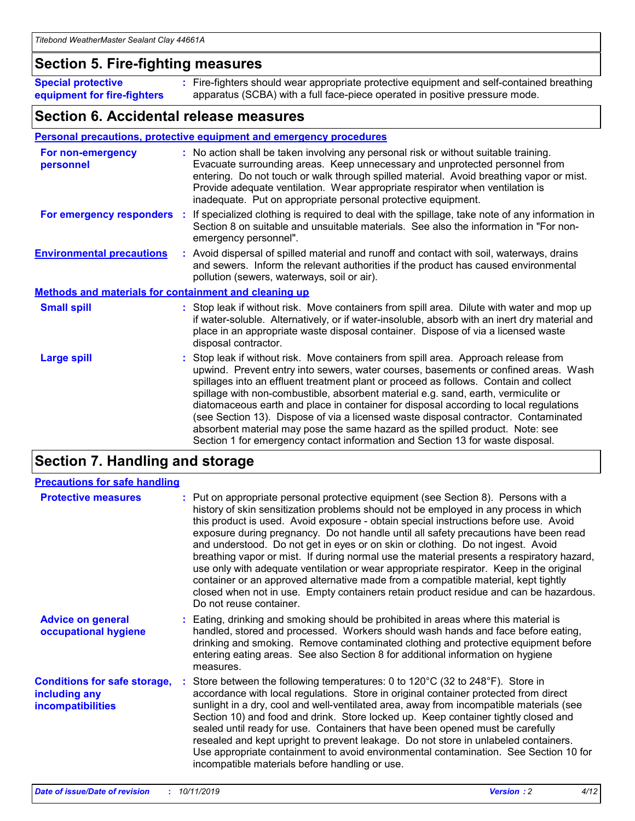## **Section 5. Fire-fighting measures**

**Special protective equipment for fire-fighters** Fire-fighters should wear appropriate protective equipment and self-contained breathing **:** apparatus (SCBA) with a full face-piece operated in positive pressure mode.

## **Section 6. Accidental release measures**

### **Personal precautions, protective equipment and emergency procedures**

| For non-emergency<br>personnel                               | : No action shall be taken involving any personal risk or without suitable training.<br>Evacuate surrounding areas. Keep unnecessary and unprotected personnel from<br>entering. Do not touch or walk through spilled material. Avoid breathing vapor or mist.<br>Provide adequate ventilation. Wear appropriate respirator when ventilation is<br>inadequate. Put on appropriate personal protective equipment.                                                                                                                                                                                                                                                                                             |
|--------------------------------------------------------------|--------------------------------------------------------------------------------------------------------------------------------------------------------------------------------------------------------------------------------------------------------------------------------------------------------------------------------------------------------------------------------------------------------------------------------------------------------------------------------------------------------------------------------------------------------------------------------------------------------------------------------------------------------------------------------------------------------------|
|                                                              | For emergency responders : If specialized clothing is required to deal with the spillage, take note of any information in<br>Section 8 on suitable and unsuitable materials. See also the information in "For non-<br>emergency personnel".                                                                                                                                                                                                                                                                                                                                                                                                                                                                  |
| <b>Environmental precautions</b>                             | : Avoid dispersal of spilled material and runoff and contact with soil, waterways, drains<br>and sewers. Inform the relevant authorities if the product has caused environmental<br>pollution (sewers, waterways, soil or air).                                                                                                                                                                                                                                                                                                                                                                                                                                                                              |
| <b>Methods and materials for containment and cleaning up</b> |                                                                                                                                                                                                                                                                                                                                                                                                                                                                                                                                                                                                                                                                                                              |
| <b>Small spill</b>                                           | : Stop leak if without risk. Move containers from spill area. Dilute with water and mop up<br>if water-soluble. Alternatively, or if water-insoluble, absorb with an inert dry material and<br>place in an appropriate waste disposal container. Dispose of via a licensed waste<br>disposal contractor.                                                                                                                                                                                                                                                                                                                                                                                                     |
| <b>Large spill</b>                                           | : Stop leak if without risk. Move containers from spill area. Approach release from<br>upwind. Prevent entry into sewers, water courses, basements or confined areas. Wash<br>spillages into an effluent treatment plant or proceed as follows. Contain and collect<br>spillage with non-combustible, absorbent material e.g. sand, earth, vermiculite or<br>diatomaceous earth and place in container for disposal according to local regulations<br>(see Section 13). Dispose of via a licensed waste disposal contractor. Contaminated<br>absorbent material may pose the same hazard as the spilled product. Note: see<br>Section 1 for emergency contact information and Section 13 for waste disposal. |

## **Section 7. Handling and storage**

| <b>Precautions for safe handling</b>                                             |                                                                                                                                                                                                                                                                                                                                                                                                                                                                                                                                                                                                                                                                                                                                                                                                                                                  |
|----------------------------------------------------------------------------------|--------------------------------------------------------------------------------------------------------------------------------------------------------------------------------------------------------------------------------------------------------------------------------------------------------------------------------------------------------------------------------------------------------------------------------------------------------------------------------------------------------------------------------------------------------------------------------------------------------------------------------------------------------------------------------------------------------------------------------------------------------------------------------------------------------------------------------------------------|
| <b>Protective measures</b>                                                       | : Put on appropriate personal protective equipment (see Section 8). Persons with a<br>history of skin sensitization problems should not be employed in any process in which<br>this product is used. Avoid exposure - obtain special instructions before use. Avoid<br>exposure during pregnancy. Do not handle until all safety precautions have been read<br>and understood. Do not get in eyes or on skin or clothing. Do not ingest. Avoid<br>breathing vapor or mist. If during normal use the material presents a respiratory hazard,<br>use only with adequate ventilation or wear appropriate respirator. Keep in the original<br>container or an approved alternative made from a compatible material, kept tightly<br>closed when not in use. Empty containers retain product residue and can be hazardous.<br>Do not reuse container. |
| <b>Advice on general</b><br>occupational hygiene                                 | : Eating, drinking and smoking should be prohibited in areas where this material is<br>handled, stored and processed. Workers should wash hands and face before eating,<br>drinking and smoking. Remove contaminated clothing and protective equipment before<br>entering eating areas. See also Section 8 for additional information on hygiene<br>measures.                                                                                                                                                                                                                                                                                                                                                                                                                                                                                    |
| <b>Conditions for safe storage,</b><br>including any<br><b>incompatibilities</b> | Store between the following temperatures: 0 to 120 $^{\circ}$ C (32 to 248 $^{\circ}$ F). Store in<br>accordance with local regulations. Store in original container protected from direct<br>sunlight in a dry, cool and well-ventilated area, away from incompatible materials (see<br>Section 10) and food and drink. Store locked up. Keep container tightly closed and<br>sealed until ready for use. Containers that have been opened must be carefully<br>resealed and kept upright to prevent leakage. Do not store in unlabeled containers.<br>Use appropriate containment to avoid environmental contamination. See Section 10 for<br>incompatible materials before handling or use.                                                                                                                                                   |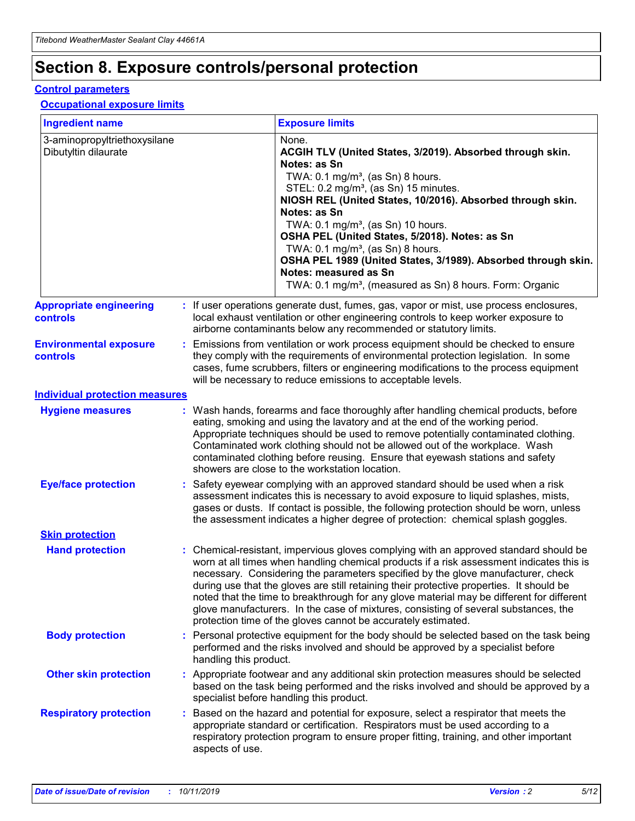## **Section 8. Exposure controls/personal protection**

### **Control parameters**

### **Occupational exposure limits**

| <b>Ingredient name</b>                               |    |                        | <b>Exposure limits</b>                                                                                                                                                                                                                                                                                                                                                                                                                                                                                                                                                                                                 |
|------------------------------------------------------|----|------------------------|------------------------------------------------------------------------------------------------------------------------------------------------------------------------------------------------------------------------------------------------------------------------------------------------------------------------------------------------------------------------------------------------------------------------------------------------------------------------------------------------------------------------------------------------------------------------------------------------------------------------|
| 3-aminopropyltriethoxysilane<br>Dibutyltin dilaurate |    |                        | None.<br>ACGIH TLV (United States, 3/2019). Absorbed through skin.<br>Notes: as Sn<br>TWA: $0.1 \text{ mg/m}^3$ , (as Sn) 8 hours.<br>STEL: 0.2 mg/m <sup>3</sup> , (as Sn) 15 minutes.<br>NIOSH REL (United States, 10/2016). Absorbed through skin.<br>Notes: as Sn<br>TWA: 0.1 mg/m <sup>3</sup> , (as Sn) 10 hours.<br>OSHA PEL (United States, 5/2018). Notes: as Sn<br>TWA: 0.1 mg/m <sup>3</sup> , (as Sn) 8 hours.<br>OSHA PEL 1989 (United States, 3/1989). Absorbed through skin.<br>Notes: measured as Sn<br>TWA: 0.1 mg/m <sup>3</sup> , (measured as Sn) 8 hours. Form: Organic                           |
| <b>Appropriate engineering</b><br>controls           |    |                        | : If user operations generate dust, fumes, gas, vapor or mist, use process enclosures,<br>local exhaust ventilation or other engineering controls to keep worker exposure to<br>airborne contaminants below any recommended or statutory limits.                                                                                                                                                                                                                                                                                                                                                                       |
| <b>Environmental exposure</b><br>controls            |    |                        | Emissions from ventilation or work process equipment should be checked to ensure<br>they comply with the requirements of environmental protection legislation. In some<br>cases, fume scrubbers, filters or engineering modifications to the process equipment<br>will be necessary to reduce emissions to acceptable levels.                                                                                                                                                                                                                                                                                          |
| <b>Individual protection measures</b>                |    |                        |                                                                                                                                                                                                                                                                                                                                                                                                                                                                                                                                                                                                                        |
| <b>Hygiene measures</b>                              |    |                        | : Wash hands, forearms and face thoroughly after handling chemical products, before<br>eating, smoking and using the lavatory and at the end of the working period.<br>Appropriate techniques should be used to remove potentially contaminated clothing.<br>Contaminated work clothing should not be allowed out of the workplace. Wash<br>contaminated clothing before reusing. Ensure that eyewash stations and safety<br>showers are close to the workstation location.                                                                                                                                            |
| <b>Eye/face protection</b>                           |    |                        | Safety eyewear complying with an approved standard should be used when a risk<br>assessment indicates this is necessary to avoid exposure to liquid splashes, mists,<br>gases or dusts. If contact is possible, the following protection should be worn, unless<br>the assessment indicates a higher degree of protection: chemical splash goggles.                                                                                                                                                                                                                                                                    |
| <b>Skin protection</b>                               |    |                        |                                                                                                                                                                                                                                                                                                                                                                                                                                                                                                                                                                                                                        |
| <b>Hand protection</b>                               |    |                        | : Chemical-resistant, impervious gloves complying with an approved standard should be<br>worn at all times when handling chemical products if a risk assessment indicates this is<br>necessary. Considering the parameters specified by the glove manufacturer, check<br>during use that the gloves are still retaining their protective properties. It should be<br>noted that the time to breakthrough for any glove material may be different for different<br>glove manufacturers. In the case of mixtures, consisting of several substances, the<br>protection time of the gloves cannot be accurately estimated. |
| <b>Body protection</b>                               |    | handling this product. | Personal protective equipment for the body should be selected based on the task being<br>performed and the risks involved and should be approved by a specialist before                                                                                                                                                                                                                                                                                                                                                                                                                                                |
| <b>Other skin protection</b>                         |    |                        | : Appropriate footwear and any additional skin protection measures should be selected<br>based on the task being performed and the risks involved and should be approved by a<br>specialist before handling this product.                                                                                                                                                                                                                                                                                                                                                                                              |
| <b>Respiratory protection</b>                        | ÷. | aspects of use.        | Based on the hazard and potential for exposure, select a respirator that meets the<br>appropriate standard or certification. Respirators must be used according to a<br>respiratory protection program to ensure proper fitting, training, and other important                                                                                                                                                                                                                                                                                                                                                         |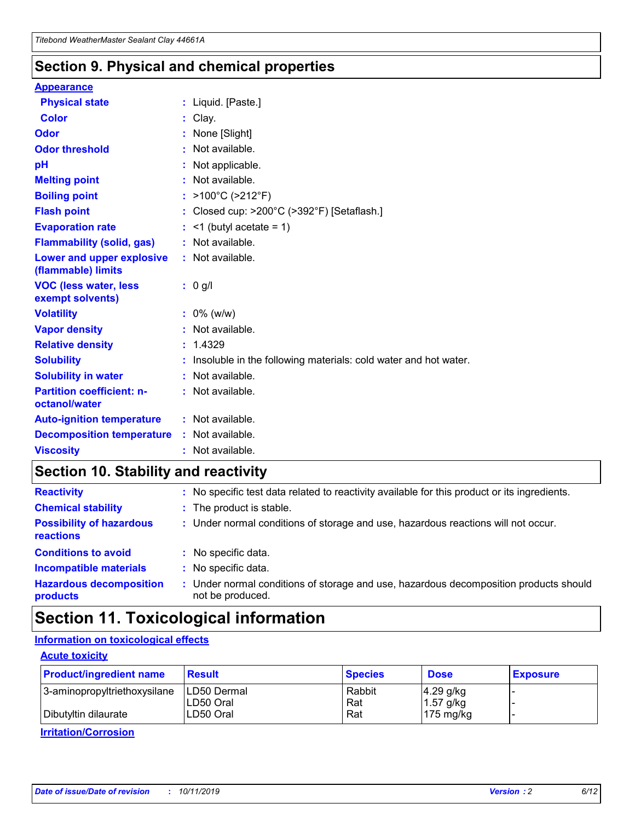## **Section 9. Physical and chemical properties**

### **Appearance**

| <b>Physical state</b>                             | : Liquid. [Paste.]                                                |
|---------------------------------------------------|-------------------------------------------------------------------|
| Color                                             | Clay.                                                             |
| Odor                                              | None [Slight]                                                     |
| <b>Odor threshold</b>                             | : Not available.                                                  |
| рH                                                | : Not applicable.                                                 |
| <b>Melting point</b>                              | : Not available.                                                  |
| <b>Boiling point</b>                              | : $>100^{\circ}$ C ( $>212^{\circ}$ F)                            |
| <b>Flash point</b>                                | : Closed cup: $>200^{\circ}$ C ( $>392^{\circ}$ F) [Setaflash.]   |
| <b>Evaporation rate</b>                           | $:$ <1 (butyl acetate = 1)                                        |
| <b>Flammability (solid, gas)</b>                  | : Not available.                                                  |
| Lower and upper explosive<br>(flammable) limits   | : Not available.                                                  |
| <b>VOC (less water, less</b><br>exempt solvents)  | $: 0$ g/l                                                         |
| <b>Volatility</b>                                 | $: 0\%$ (w/w)                                                     |
| <b>Vapor density</b>                              | : Not available.                                                  |
| <b>Relative density</b>                           | : 1.4329                                                          |
| <b>Solubility</b>                                 | : Insoluble in the following materials: cold water and hot water. |
| <b>Solubility in water</b>                        | : Not available.                                                  |
| <b>Partition coefficient: n-</b><br>octanol/water | : Not available.                                                  |
| <b>Auto-ignition temperature</b>                  | $:$ Not available.                                                |
| <b>Decomposition temperature</b>                  | : Not available.                                                  |
| <b>Viscosity</b>                                  | : Not available.                                                  |

## **Section 10. Stability and reactivity**

| <b>Reactivity</b>                            |    | : No specific test data related to reactivity available for this product or its ingredients.            |
|----------------------------------------------|----|---------------------------------------------------------------------------------------------------------|
| <b>Chemical stability</b>                    |    | : The product is stable.                                                                                |
| <b>Possibility of hazardous</b><br>reactions |    | : Under normal conditions of storage and use, hazardous reactions will not occur.                       |
| <b>Conditions to avoid</b>                   |    | : No specific data.                                                                                     |
| <b>Incompatible materials</b>                | ٠. | No specific data.                                                                                       |
| <b>Hazardous decomposition</b><br>products   | ÷. | Under normal conditions of storage and use, hazardous decomposition products should<br>not be produced. |

## **Section 11. Toxicological information**

## **Information on toxicological effects**

### **Acute toxicity**

| <b>Product/ingredient name</b> | <b>Result</b>           | <b>Species</b> | <b>Dose</b>                | <b>Exposure</b> |
|--------------------------------|-------------------------|----------------|----------------------------|-----------------|
| 3-aminopropyltriethoxysilane   | <b>ILD50 Dermal</b>     | Rabbit         | 4.29 g/kg                  |                 |
| Dibutyltin dilaurate           | ILD50 Oral<br>LD50 Oral | Rat<br>Rat     | $1.57$ g/kg<br>175 $mg/kg$ |                 |
|                                |                         |                |                            |                 |

**Irritation/Corrosion**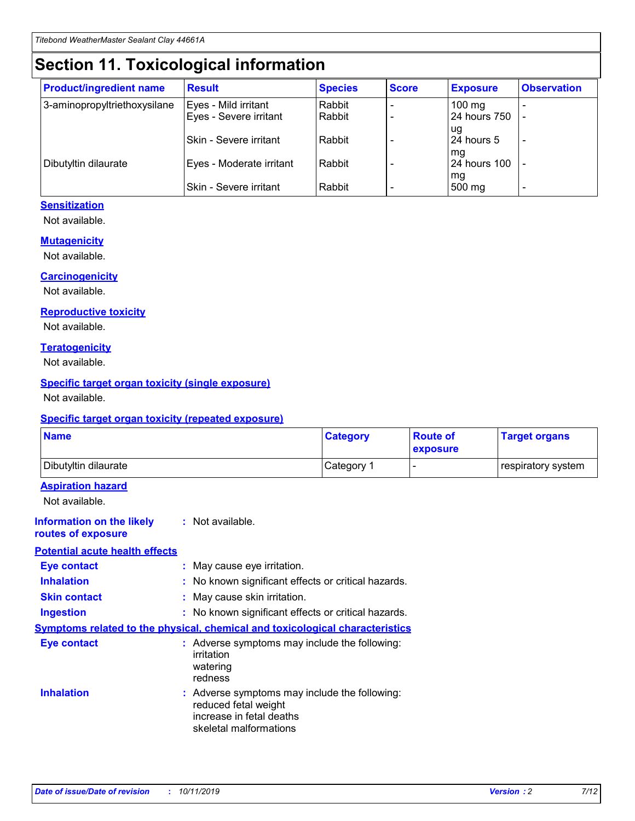## **Section 11. Toxicological information**

| <b>Product/ingredient name</b> | <b>Result</b>            | <b>Species</b> | <b>Score</b> | <b>Exposure</b>     | <b>Observation</b> |
|--------------------------------|--------------------------|----------------|--------------|---------------------|--------------------|
| 3-aminopropyltriethoxysilane   | Eyes - Mild irritant     | Rabbit         |              | $100 \text{ mg}$    |                    |
|                                | Eyes - Severe irritant   | Rabbit         |              | 24 hours 750        |                    |
|                                |                          |                |              | ug                  |                    |
|                                | Skin - Severe irritant   | Rabbit         |              | 24 hours 5          |                    |
|                                |                          |                |              | mq                  |                    |
| Dibutyltin dilaurate           | Eyes - Moderate irritant | Rabbit         |              | <b>24 hours 100</b> |                    |
|                                | Skin - Severe irritant   | Rabbit         |              | mg<br>500 mg        |                    |
|                                |                          |                |              |                     |                    |

### **Sensitization**

Not available.

### **Mutagenicity**

Not available.

#### **Carcinogenicity**

Not available.

#### **Reproductive toxicity**

Not available.

#### **Teratogenicity**

Not available.

### **Specific target organ toxicity (single exposure)**

Not available.

#### **Specific target organ toxicity (repeated exposure)**

| <b>Name</b>                                                                  |                                                                                                                             | <b>Category</b> | <b>Route of</b><br>exposure  | <b>Target organs</b> |
|------------------------------------------------------------------------------|-----------------------------------------------------------------------------------------------------------------------------|-----------------|------------------------------|----------------------|
| Dibutyltin dilaurate                                                         |                                                                                                                             | Category 1      | $\qquad \qquad \blacksquare$ | respiratory system   |
| <b>Aspiration hazard</b><br>Not available.                                   |                                                                                                                             |                 |                              |                      |
| <b>Information on the likely</b><br>routes of exposure                       | : Not available.                                                                                                            |                 |                              |                      |
| <b>Potential acute health effects</b>                                        |                                                                                                                             |                 |                              |                      |
| <b>Eye contact</b>                                                           | : May cause eye irritation.                                                                                                 |                 |                              |                      |
| <b>Inhalation</b>                                                            | : No known significant effects or critical hazards.                                                                         |                 |                              |                      |
| <b>Skin contact</b>                                                          | : May cause skin irritation.                                                                                                |                 |                              |                      |
| <b>Ingestion</b>                                                             | : No known significant effects or critical hazards.                                                                         |                 |                              |                      |
| Symptoms related to the physical, chemical and toxicological characteristics |                                                                                                                             |                 |                              |                      |
| <b>Eye contact</b>                                                           | : Adverse symptoms may include the following:<br>irritation<br>watering<br>redness                                          |                 |                              |                      |
| <b>Inhalation</b>                                                            | : Adverse symptoms may include the following:<br>reduced fetal weight<br>increase in fetal deaths<br>skeletal malformations |                 |                              |                      |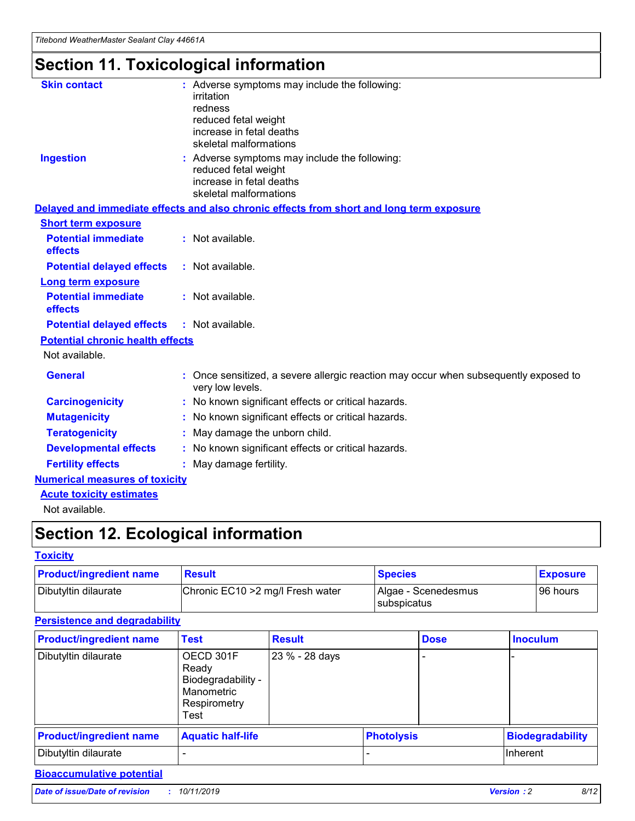# **Section 11. Toxicological information**

| <b>Skin contact</b>                     | : Adverse symptoms may include the following:<br>irritation<br>redness<br>reduced fetal weight<br>increase in fetal deaths<br>skeletal malformations |
|-----------------------------------------|------------------------------------------------------------------------------------------------------------------------------------------------------|
| <b>Ingestion</b>                        | : Adverse symptoms may include the following:<br>reduced fetal weight<br>increase in fetal deaths<br>skeletal malformations                          |
|                                         | Delayed and immediate effects and also chronic effects from short and long term exposure                                                             |
| <b>Short term exposure</b>              |                                                                                                                                                      |
| <b>Potential immediate</b><br>effects   | : Not available.                                                                                                                                     |
| <b>Potential delayed effects</b>        | : Not available.                                                                                                                                     |
| <b>Long term exposure</b>               |                                                                                                                                                      |
| <b>Potential immediate</b><br>effects   | : Not available.                                                                                                                                     |
| <b>Potential delayed effects</b>        | : Not available.                                                                                                                                     |
| <b>Potential chronic health effects</b> |                                                                                                                                                      |
| Not available.                          |                                                                                                                                                      |
| <b>General</b>                          | : Once sensitized, a severe allergic reaction may occur when subsequently exposed to<br>very low levels.                                             |
| <b>Carcinogenicity</b>                  | : No known significant effects or critical hazards.                                                                                                  |
| <b>Mutagenicity</b>                     | No known significant effects or critical hazards.                                                                                                    |
| <b>Teratogenicity</b>                   | May damage the unborn child.                                                                                                                         |
| <b>Developmental effects</b>            | No known significant effects or critical hazards.                                                                                                    |
| <b>Fertility effects</b>                | : May damage fertility.                                                                                                                              |
| <b>Numerical measures of toxicity</b>   |                                                                                                                                                      |
| <b>Acute toxicity estimates</b>         |                                                                                                                                                      |
|                                         |                                                                                                                                                      |

Not available.

## **Section 12. Ecological information**

### **Toxicity**

| <b>Product/ingredient name</b> | <b>Result</b>                     | <b>Species</b>                       | <b>Exposure</b> |
|--------------------------------|-----------------------------------|--------------------------------------|-----------------|
| Dibutyltin dilaurate           | Chronic EC10 > 2 mg/l Fresh water | Algae - Scenedesmus<br>I subspicatus | l 96 hours      |

## **Persistence and degradability**

| <b>Product/ingredient name</b> | <b>Test</b>                                                                    | <b>Result</b>  |  | <b>Dose</b>       | <b>Inoculum</b>         |
|--------------------------------|--------------------------------------------------------------------------------|----------------|--|-------------------|-------------------------|
| Dibutyltin dilaurate           | OECD 301F<br>Ready<br>Biodegradability -<br>Manometric<br>Respirometry<br>Test | 23 % - 28 days |  |                   |                         |
| <b>Product/ingredient name</b> | <b>Aquatic half-life</b>                                                       |                |  | <b>Photolysis</b> | <b>Biodegradability</b> |
| Dibutyltin dilaurate           |                                                                                |                |  |                   | Inherent                |

## **Bioaccumulative potential**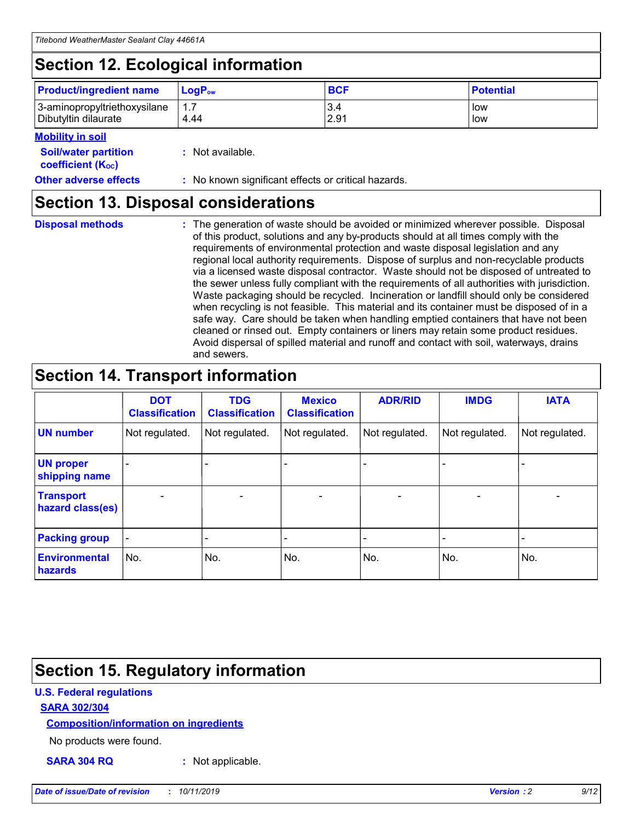## **Section 12. Ecological information**

| <b>Product/ingredient name</b> | $LoaPow$ | <b>BCF</b> | <b>Potential</b> |
|--------------------------------|----------|------------|------------------|
| 3-aminopropyltriethoxysilane   | 1.7      | 3.4        | low              |
| Dibutyltin dilaurate           | 4.44     | 2.91       | low              |

#### **Mobility in soil**

| <b>Soil/water partition</b><br>coefficient (K <sub>oc</sub> ) | : Not available.                                    |
|---------------------------------------------------------------|-----------------------------------------------------|
| <b>Other adverse effects</b>                                  | : No known significant effects or critical hazards. |

## **Section 13. Disposal considerations**

| <b>Disposal methods</b> |
|-------------------------|

**Disposal methods** : The generation of waste should be avoided or minimized wherever possible. Disposal of this product, solutions and any by-products should at all times comply with the requirements of environmental protection and waste disposal legislation and any regional local authority requirements. Dispose of surplus and non-recyclable products via a licensed waste disposal contractor. Waste should not be disposed of untreated to the sewer unless fully compliant with the requirements of all authorities with jurisdiction. Waste packaging should be recycled. Incineration or landfill should only be considered when recycling is not feasible. This material and its container must be disposed of in a safe way. Care should be taken when handling emptied containers that have not been cleaned or rinsed out. Empty containers or liners may retain some product residues. Avoid dispersal of spilled material and runoff and contact with soil, waterways, drains and sewers.

## **Section 14. Transport information**

|                                      | <b>DOT</b><br><b>Classification</b> | <b>TDG</b><br><b>Classification</b> | <b>Mexico</b><br><b>Classification</b> | <b>ADR/RID</b>           | <b>IMDG</b>              | <b>IATA</b>    |
|--------------------------------------|-------------------------------------|-------------------------------------|----------------------------------------|--------------------------|--------------------------|----------------|
| <b>UN number</b>                     | Not regulated.                      | Not regulated.                      | Not regulated.                         | Not regulated.           | Not regulated.           | Not regulated. |
| <b>UN proper</b><br>shipping name    |                                     |                                     |                                        |                          |                          |                |
| <b>Transport</b><br>hazard class(es) | $\overline{\phantom{a}}$            | $\overline{\phantom{0}}$            | $\overline{\phantom{0}}$               | $\overline{\phantom{0}}$ | $\overline{\phantom{0}}$ | $\blacksquare$ |
| <b>Packing group</b>                 | $\overline{\phantom{a}}$            |                                     |                                        |                          | -                        |                |
| <b>Environmental</b><br>hazards      | No.                                 | No.                                 | No.                                    | No.                      | No.                      | No.            |

## **Section 15. Regulatory information**

### **U.S. Federal regulations**

### **SARA 302/304**

### **Composition/information on ingredients**

No products were found.

**SARA 304 RQ :** Not applicable.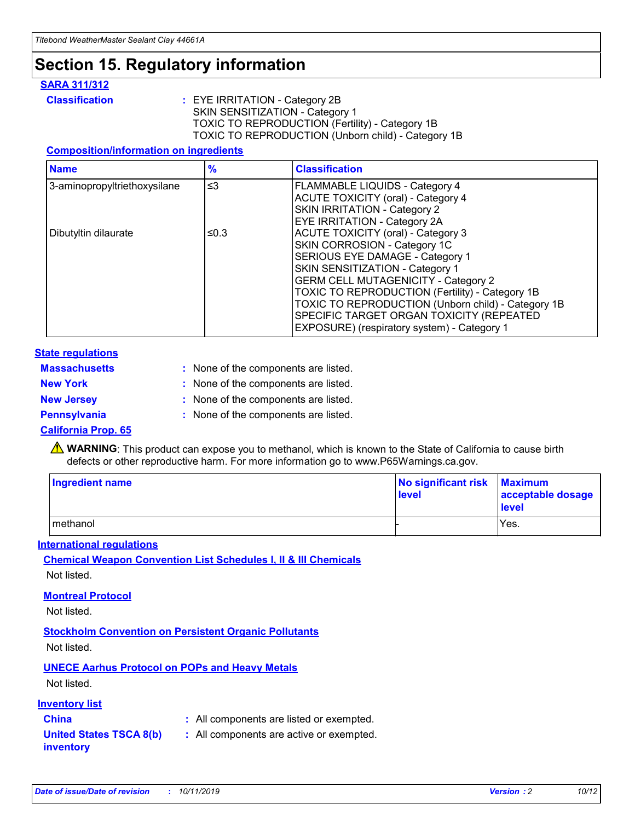## **Section 15. Regulatory information**

### **SARA 311/312**

**Classification :** EYE IRRITATION - Category 2B SKIN SENSITIZATION - Category 1 TOXIC TO REPRODUCTION (Fertility) - Category 1B TOXIC TO REPRODUCTION (Unborn child) - Category 1B

### **Composition/information on ingredients**

| <b>Name</b>                  | $\frac{9}{6}$ | <b>Classification</b>                                                                                            |
|------------------------------|---------------|------------------------------------------------------------------------------------------------------------------|
| 3-aminopropyltriethoxysilane | $\leq$ 3      | <b>FLAMMABLE LIQUIDS - Category 4</b><br><b>ACUTE TOXICITY (oral) - Category 4</b>                               |
|                              |               | SKIN IRRITATION - Category 2<br>EYE IRRITATION - Category 2A                                                     |
| Dibutyltin dilaurate         | ≤0.3          | ACUTE TOXICITY (oral) - Category 3<br>SKIN CORROSION - Category 1C                                               |
|                              |               | SERIOUS EYE DAMAGE - Category 1<br>SKIN SENSITIZATION - Category 1<br><b>GERM CELL MUTAGENICITY - Category 2</b> |
|                              |               | TOXIC TO REPRODUCTION (Fertility) - Category 1B<br>TOXIC TO REPRODUCTION (Unborn child) - Category 1B            |
|                              |               | SPECIFIC TARGET ORGAN TOXICITY (REPEATED<br>EXPOSURE) (respiratory system) - Category 1                          |

### **State regulations**

| <b>Massachusetts</b> | : None of the components are listed. |
|----------------------|--------------------------------------|
| <b>New York</b>      | : None of the components are listed. |
| <b>New Jersey</b>    | : None of the components are listed. |
| <b>Pennsylvania</b>  | : None of the components are listed. |

### **California Prop. 65**

**A** WARNING: This product can expose you to methanol, which is known to the State of California to cause birth defects or other reproductive harm. For more information go to www.P65Warnings.ca.gov.

| <b>Ingredient name</b> | No significant risk Maximum<br>level | acceptable dosage<br>level |
|------------------------|--------------------------------------|----------------------------|
| methanol               |                                      | Yes.                       |

### **International regulations**

**Chemical Weapon Convention List Schedules I, II & III Chemicals** Not listed.

### **Montreal Protocol**

Not listed.

### **Stockholm Convention on Persistent Organic Pollutants**

Not listed.

## **UNECE Aarhus Protocol on POPs and Heavy Metals**

Not listed.

### **Inventory list**

## **China :** All components are listed or exempted.

#### **United States TSCA 8(b) inventory :** All components are active or exempted.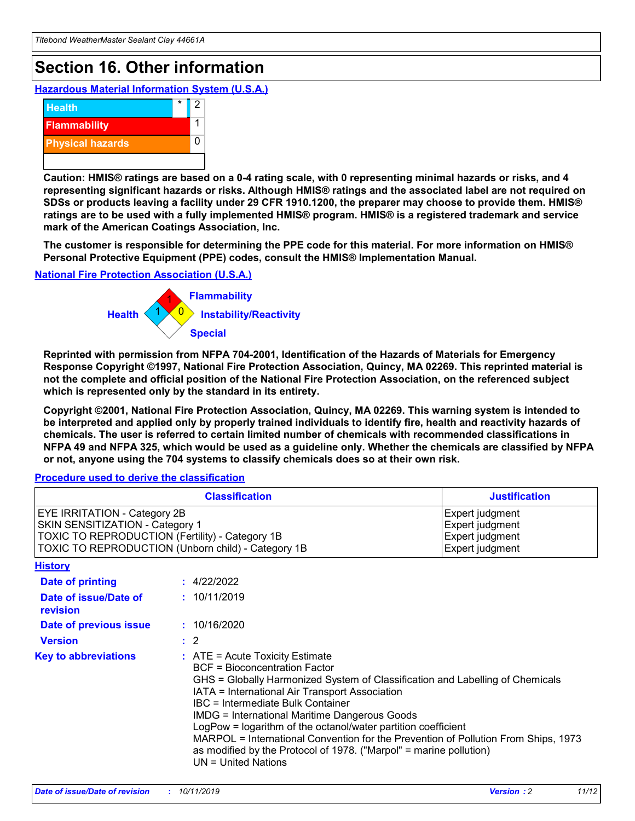## **Section 16. Other information**

**Hazardous Material Information System (U.S.A.)**



**Caution: HMIS® ratings are based on a 0-4 rating scale, with 0 representing minimal hazards or risks, and 4 representing significant hazards or risks. Although HMIS® ratings and the associated label are not required on SDSs or products leaving a facility under 29 CFR 1910.1200, the preparer may choose to provide them. HMIS® ratings are to be used with a fully implemented HMIS® program. HMIS® is a registered trademark and service mark of the American Coatings Association, Inc.**

**The customer is responsible for determining the PPE code for this material. For more information on HMIS® Personal Protective Equipment (PPE) codes, consult the HMIS® Implementation Manual.**

#### **National Fire Protection Association (U.S.A.)**



**Reprinted with permission from NFPA 704-2001, Identification of the Hazards of Materials for Emergency Response Copyright ©1997, National Fire Protection Association, Quincy, MA 02269. This reprinted material is not the complete and official position of the National Fire Protection Association, on the referenced subject which is represented only by the standard in its entirety.**

**Copyright ©2001, National Fire Protection Association, Quincy, MA 02269. This warning system is intended to be interpreted and applied only by properly trained individuals to identify fire, health and reactivity hazards of chemicals. The user is referred to certain limited number of chemicals with recommended classifications in NFPA 49 and NFPA 325, which would be used as a guideline only. Whether the chemicals are classified by NFPA or not, anyone using the 704 systems to classify chemicals does so at their own risk.**

#### **Procedure used to derive the classification**

|                                                                                                                    | <b>Classification</b>                                                                                                                                                                                                                                                                                                                                                                                                                                                                                                                                         | <b>Justification</b>                                                     |
|--------------------------------------------------------------------------------------------------------------------|---------------------------------------------------------------------------------------------------------------------------------------------------------------------------------------------------------------------------------------------------------------------------------------------------------------------------------------------------------------------------------------------------------------------------------------------------------------------------------------------------------------------------------------------------------------|--------------------------------------------------------------------------|
| EYE IRRITATION - Category 2B<br>SKIN SENSITIZATION - Category 1<br>TOXIC TO REPRODUCTION (Fertility) - Category 1B | TOXIC TO REPRODUCTION (Unborn child) - Category 1B                                                                                                                                                                                                                                                                                                                                                                                                                                                                                                            | Expert judgment<br>Expert judgment<br>Expert judgment<br>Expert judgment |
| <b>History</b>                                                                                                     |                                                                                                                                                                                                                                                                                                                                                                                                                                                                                                                                                               |                                                                          |
| Date of printing                                                                                                   | : 4/22/2022                                                                                                                                                                                                                                                                                                                                                                                                                                                                                                                                                   |                                                                          |
| Date of issue/Date of<br>revision                                                                                  | : 10/11/2019                                                                                                                                                                                                                                                                                                                                                                                                                                                                                                                                                  |                                                                          |
| Date of previous issue                                                                                             | : 10/16/2020                                                                                                                                                                                                                                                                                                                                                                                                                                                                                                                                                  |                                                                          |
| <b>Version</b>                                                                                                     | $\therefore$ 2                                                                                                                                                                                                                                                                                                                                                                                                                                                                                                                                                |                                                                          |
| <b>Key to abbreviations</b>                                                                                        | $:$ ATE = Acute Toxicity Estimate<br><b>BCF</b> = Bioconcentration Factor<br>GHS = Globally Harmonized System of Classification and Labelling of Chemicals<br>IATA = International Air Transport Association<br>IBC = Intermediate Bulk Container<br><b>IMDG = International Maritime Dangerous Goods</b><br>LogPow = logarithm of the octanol/water partition coefficient<br>MARPOL = International Convention for the Prevention of Pollution From Ships, 1973<br>as modified by the Protocol of 1978. ("Marpol" = marine pollution)<br>UN = United Nations |                                                                          |